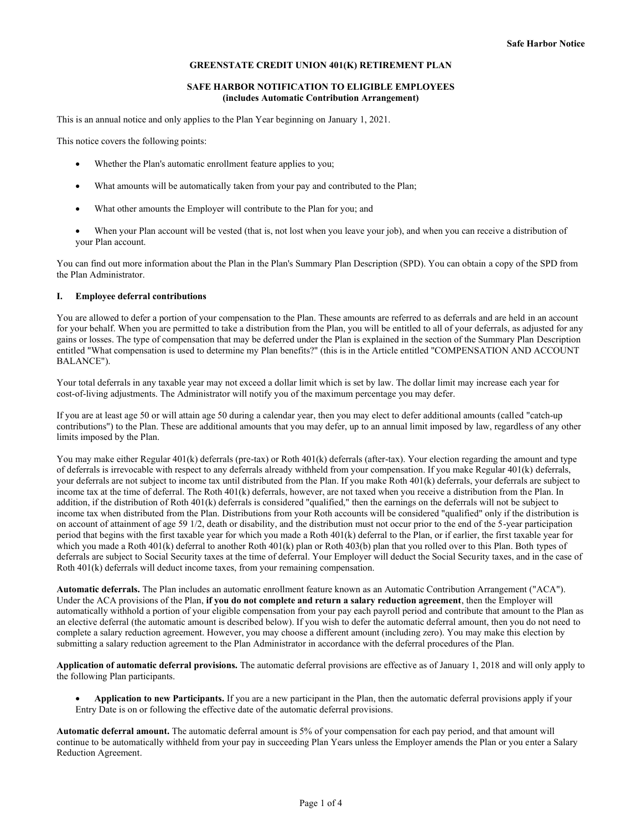# **GREENSTATE CREDIT UNION 401(K) RETIREMENT PLAN**

## **SAFE HARBOR NOTIFICATION TO ELIGIBLE EMPLOYEES (includes Automatic Contribution Arrangement)**

This is an annual notice and only applies to the Plan Year beginning on January 1, 2021.

This notice covers the following points:

- Whether the Plan's automatic enrollment feature applies to you;
- What amounts will be automatically taken from your pay and contributed to the Plan;
- What other amounts the Employer will contribute to the Plan for you; and
- When your Plan account will be vested (that is, not lost when you leave your job), and when you can receive a distribution of your Plan account.

You can find out more information about the Plan in the Plan's Summary Plan Description (SPD). You can obtain a copy of the SPD from the Plan Administrator.

## **I. Employee deferral contributions**

You are allowed to defer a portion of your compensation to the Plan. These amounts are referred to as deferrals and are held in an account for your behalf. When you are permitted to take a distribution from the Plan, you will be entitled to all of your deferrals, as adjusted for any gains or losses. The type of compensation that may be deferred under the Plan is explained in the section of the Summary Plan Description entitled "What compensation is used to determine my Plan benefits?" (this is in the Article entitled "COMPENSATION AND ACCOUNT BALANCE").

Your total deferrals in any taxable year may not exceed a dollar limit which is set by law. The dollar limit may increase each year for cost-of-living adjustments. The Administrator will notify you of the maximum percentage you may defer.

If you are at least age 50 or will attain age 50 during a calendar year, then you may elect to defer additional amounts (called "catch-up contributions") to the Plan. These are additional amounts that you may defer, up to an annual limit imposed by law, regardless of any other limits imposed by the Plan.

You may make either Regular 401(k) deferrals (pre-tax) or Roth 401(k) deferrals (after-tax). Your election regarding the amount and type of deferrals is irrevocable with respect to any deferrals already withheld from your compensation. If you make Regular 401(k) deferrals, your deferrals are not subject to income tax until distributed from the Plan. If you make Roth 401(k) deferrals, your deferrals are subject to income tax at the time of deferral. The Roth 401(k) deferrals, however, are not taxed when you receive a distribution from the Plan. In addition, if the distribution of Roth 401(k) deferrals is considered "qualified," then the earnings on the deferrals will not be subject to income tax when distributed from the Plan. Distributions from your Roth accounts will be considered "qualified" only if the distribution is on account of attainment of age 59 1/2, death or disability, and the distribution must not occur prior to the end of the 5-year participation period that begins with the first taxable year for which you made a Roth 401(k) deferral to the Plan, or if earlier, the first taxable year for which you made a Roth 401(k) deferral to another Roth 401(k) plan or Roth 403(b) plan that you rolled over to this Plan. Both types of deferrals are subject to Social Security taxes at the time of deferral. Your Employer will deduct the Social Security taxes, and in the case of Roth  $401(k)$  deferrals will deduct income taxes, from your remaining compensation.

**Automatic deferrals.** The Plan includes an automatic enrollment feature known as an Automatic Contribution Arrangement ("ACA"). Under the ACA provisions of the Plan, **if you do not complete and return a salary reduction agreement**, then the Employer will automatically withhold a portion of your eligible compensation from your pay each payroll period and contribute that amount to the Plan as an elective deferral (the automatic amount is described below). If you wish to defer the automatic deferral amount, then you do not need to complete a salary reduction agreement. However, you may choose a different amount (including zero). You may make this election by submitting a salary reduction agreement to the Plan Administrator in accordance with the deferral procedures of the Plan.

**Application of automatic deferral provisions.** The automatic deferral provisions are effective as of January 1, 2018 and will only apply to the following Plan participants.

• **Application to new Participants.** If you are a new participant in the Plan, then the automatic deferral provisions apply if your Entry Date is on or following the effective date of the automatic deferral provisions.

**Automatic deferral amount.** The automatic deferral amount is 5% of your compensation for each pay period, and that amount will continue to be automatically withheld from your pay in succeeding Plan Years unless the Employer amends the Plan or you enter a Salary Reduction Agreement.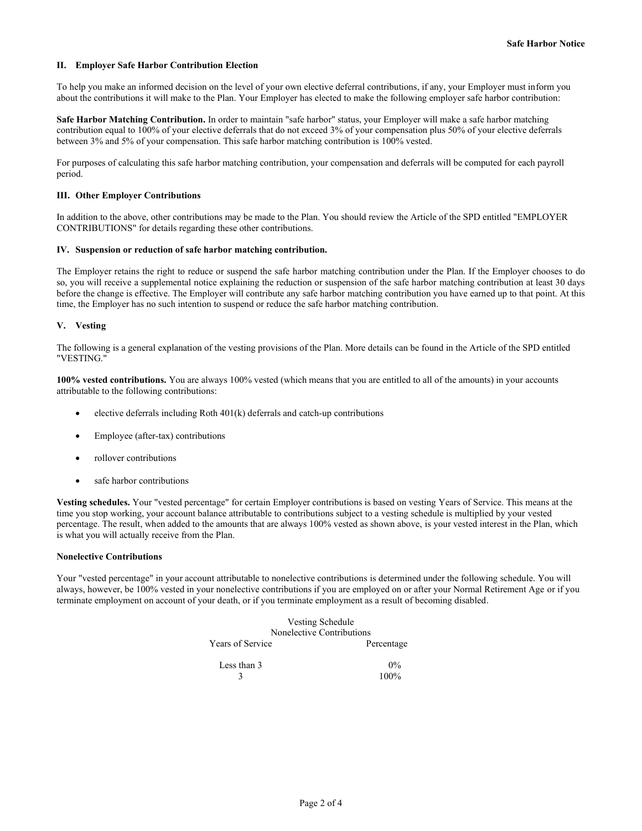# **II. Employer Safe Harbor Contribution Election**

To help you make an informed decision on the level of your own elective deferral contributions, if any, your Employer must inform you about the contributions it will make to the Plan. Your Employer has elected to make the following employer safe harbor contribution:

**Safe Harbor Matching Contribution.** In order to maintain "safe harbor" status, your Employer will make a safe harbor matching contribution equal to 100% of your elective deferrals that do not exceed 3% of your compensation plus 50% of your elective deferrals between 3% and 5% of your compensation. This safe harbor matching contribution is 100% vested.

For purposes of calculating this safe harbor matching contribution, your compensation and deferrals will be computed for each payroll period.

# **III. Other Employer Contributions**

In addition to the above, other contributions may be made to the Plan. You should review the Article of the SPD entitled "EMPLOYER CONTRIBUTIONS" for details regarding these other contributions.

## **IV. Suspension or reduction of safe harbor matching contribution.**

The Employer retains the right to reduce or suspend the safe harbor matching contribution under the Plan. If the Employer chooses to do so, you will receive a supplemental notice explaining the reduction or suspension of the safe harbor matching contribution at least 30 days before the change is effective. The Employer will contribute any safe harbor matching contribution you have earned up to that point. At this time, the Employer has no such intention to suspend or reduce the safe harbor matching contribution.

## **V. Vesting**

The following is a general explanation of the vesting provisions of the Plan. More details can be found in the Article of the SPD entitled "VESTING."

**100% vested contributions.** You are always 100% vested (which means that you are entitled to all of the amounts) in your accounts attributable to the following contributions:

- elective deferrals including Roth  $401(k)$  deferrals and catch-up contributions
- Employee (after-tax) contributions
- rollover contributions
- safe harbor contributions

**Vesting schedules.** Your "vested percentage" for certain Employer contributions is based on vesting Years of Service. This means at the time you stop working, your account balance attributable to contributions subject to a vesting schedule is multiplied by your vested percentage. The result, when added to the amounts that are always 100% vested as shown above, is your vested interest in the Plan, which is what you will actually receive from the Plan.

## **Nonelective Contributions**

Your "vested percentage" in your account attributable to nonelective contributions is determined under the following schedule. You will always, however, be 100% vested in your nonelective contributions if you are employed on or after your Normal Retirement Age or if you terminate employment on account of your death, or if you terminate employment as a result of becoming disabled.

| Vesting Schedule          |            |
|---------------------------|------------|
| Nonelective Contributions |            |
| <b>Years of Service</b>   | Percentage |
| Less than 3               | $0\%$      |
|                           | 100%       |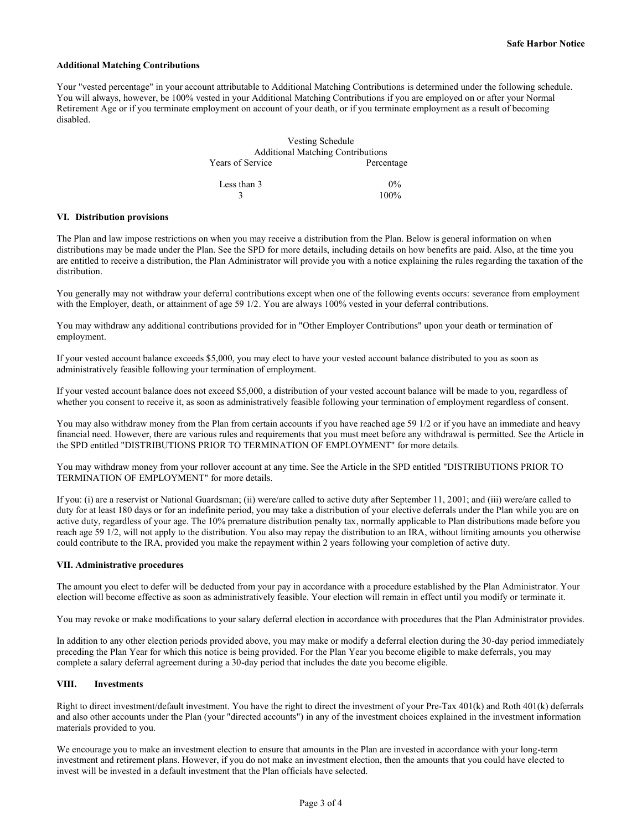## **Additional Matching Contributions**

Your "vested percentage" in your account attributable to Additional Matching Contributions is determined under the following schedule. You will always, however, be 100% vested in your Additional Matching Contributions if you are employed on or after your Normal Retirement Age or if you terminate employment on account of your death, or if you terminate employment as a result of becoming disabled.

|                  | Vesting Schedule                         |
|------------------|------------------------------------------|
|                  | <b>Additional Matching Contributions</b> |
| Years of Service | Percentage                               |
| Less than 3      | $0\%$                                    |
|                  | 100%                                     |

#### **VI. Distribution provisions**

The Plan and law impose restrictions on when you may receive a distribution from the Plan. Below is general information on when distributions may be made under the Plan. See the SPD for more details, including details on how benefits are paid. Also, at the time you are entitled to receive a distribution, the Plan Administrator will provide you with a notice explaining the rules regarding the taxation of the distribution.

You generally may not withdraw your deferral contributions except when one of the following events occurs: severance from employment with the Employer, death, or attainment of age 59 1/2. You are always 100% vested in your deferral contributions.

You may withdraw any additional contributions provided for in "Other Employer Contributions" upon your death or termination of employment.

If your vested account balance exceeds \$5,000, you may elect to have your vested account balance distributed to you as soon as administratively feasible following your termination of employment.

If your vested account balance does not exceed \$5,000, a distribution of your vested account balance will be made to you, regardless of whether you consent to receive it, as soon as administratively feasible following your termination of employment regardless of consent.

You may also withdraw money from the Plan from certain accounts if you have reached age 59 1/2 or if you have an immediate and heavy financial need. However, there are various rules and requirements that you must meet before any withdrawal is permitted. See the Article in the SPD entitled "DISTRIBUTIONS PRIOR TO TERMINATION OF EMPLOYMENT" for more details.

You may withdraw money from your rollover account at any time. See the Article in the SPD entitled "DISTRIBUTIONS PRIOR TO TERMINATION OF EMPLOYMENT" for more details.

If you: (i) are a reservist or National Guardsman; (ii) were/are called to active duty after September 11, 2001; and (iii) were/are called to duty for at least 180 days or for an indefinite period, you may take a distribution of your elective deferrals under the Plan while you are on active duty, regardless of your age. The 10% premature distribution penalty tax, normally applicable to Plan distributions made before you reach age 59 1/2, will not apply to the distribution. You also may repay the distribution to an IRA, without limiting amounts you otherwise could contribute to the IRA, provided you make the repayment within 2 years following your completion of active duty.

#### **VII. Administrative procedures**

The amount you elect to defer will be deducted from your pay in accordance with a procedure established by the Plan Administrator. Your election will become effective as soon as administratively feasible. Your election will remain in effect until you modify or terminate it.

You may revoke or make modifications to your salary deferral election in accordance with procedures that the Plan Administrator provides.

In addition to any other election periods provided above, you may make or modify a deferral election during the 30-day period immediately preceding the Plan Year for which this notice is being provided. For the Plan Year you become eligible to make deferrals, you may complete a salary deferral agreement during a 30-day period that includes the date you become eligible.

## **VIII. Investments**

Right to direct investment/default investment. You have the right to direct the investment of your Pre-Tax 401(k) and Roth 401(k) deferrals and also other accounts under the Plan (your "directed accounts") in any of the investment choices explained in the investment information materials provided to you.

We encourage you to make an investment election to ensure that amounts in the Plan are invested in accordance with your long-term investment and retirement plans. However, if you do not make an investment election, then the amounts that you could have elected to invest will be invested in a default investment that the Plan officials have selected.